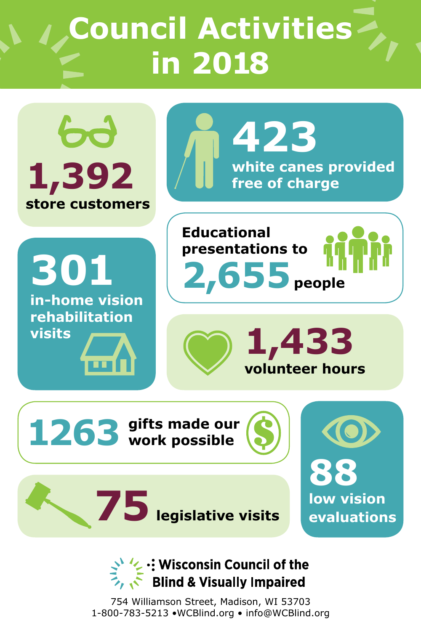# **Council Activities in 2018**



### V :: Wisconsin Council of the **Blind & Visually Impaired**

754 Williamson Street, Madison, WI 53703 1-800-783-5213 •WCBlind.org • info@WCBlind.org